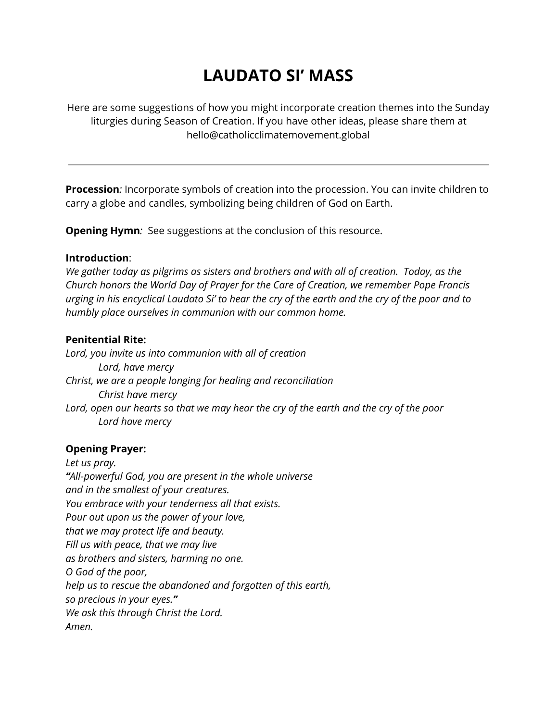# **LAUDATO SI' MASS**

Here are some suggestions of how you might incorporate creation themes into the Sunday liturgies during Season of Creation. If you have other ideas, please share them at hello@catholicclimatemovement.global

**Procession***:* Incorporate symbols of creation into the procession. You can invite children to carry a globe and candles, symbolizing being children of God on Earth.

**Opening Hymn***:* See suggestions at the conclusion of this resource.

## **Introduction**:

*We gather today as pilgrims as sisters and brothers and with all of creation. Today, as the Church honors the World Day of Prayer for the Care of Creation, we remember Pope Francis* urging in his encyclical Laudato Si' to hear the cry of the earth and the cry of the poor and to *humbly place ourselves in communion with our common home.*

## **Penitential Rite:**

*Lord, you invite us into communion with all of creation Lord, have mercy Christ, we are a people longing for healing and reconciliation Christ have mercy* Lord, open our hearts so that we may hear the cry of the earth and the cry of the poor *Lord have mercy*

## **Opening Prayer:**

*Let us pray. "All-powerful God, you are present in the whole universe and in the smallest of your creatures. You embrace with your tenderness all that exists. Pour out upon us the power of your love, that we may protect life and beauty. Fill us with peace, that we may live as brothers and sisters, harming no one. O God of the poor, help us to rescue the abandoned and forgotten of this earth, so precious in your eyes." We ask this through Christ the Lord. Amen.*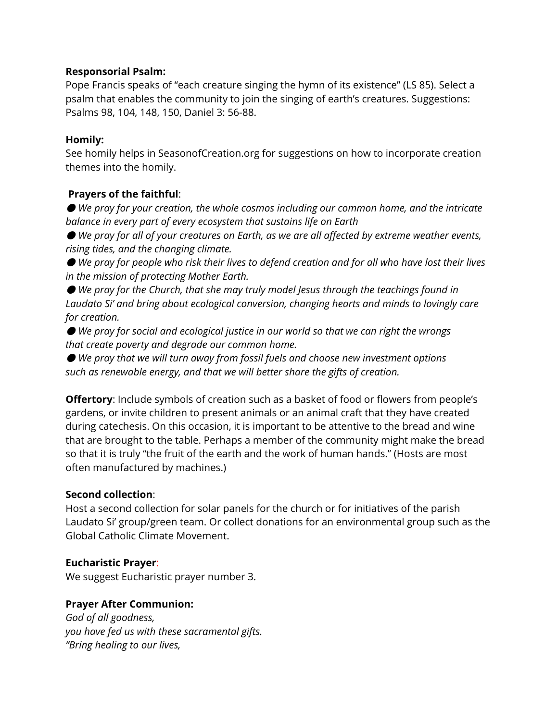### **Responsorial Psalm:**

Pope Francis speaks of "each creature singing the hymn of its existence" (LS 85). Select a psalm that enables the community to join the singing of earth's creatures. Suggestions: Psalms 98, 104, 148, 150, Daniel 3: 56-88.

#### **Homily:**

See homily helps in SeasonofCreation.org for suggestions on how to incorporate creation themes into the homily.

## **Prayers of the faithful**:

● *We pray for your creation, the whole cosmos including our common home, and the intricate balance in every part of every ecosystem that sustains life on Earth*

● *We pray for all of your creatures on Earth, as we are all affected by extreme weather events, rising tides, and the changing climate.*

● We pray for people who risk their lives to defend creation and for all who have lost their lives *in the mission of protecting Mother Earth.*

● *We pray for the Church, that she may truly model Jesus through the teachings found in Laudato Si' and bring about ecological conversion, changing hearts and minds to lovingly care for creation.*

● *We pray for social and ecological justice in our world so that we can right the wrongs that create poverty and degrade our common home.*

● *We pray that we will turn away from fossil fuels and choose new investment options such as renewable energy, and that we will better share the gifts of creation.*

**Offertory**: Include symbols of creation such as a basket of food or flowers from people's gardens, or invite children to present animals or an animal craft that they have created during catechesis. On this occasion, it is important to be attentive to the bread and wine that are brought to the table. Perhaps a member of the community might make the bread so that it is truly "the fruit of the earth and the work of human hands." (Hosts are most often manufactured by machines.)

## **Second collection**:

Host a second collection for solar panels for the church or for initiatives of the parish Laudato Si' group/green team. Or collect donations for an environmental group such as the Global Catholic Climate Movement.

## **Eucharistic Prayer**:

We suggest Eucharistic prayer number 3.

## **Prayer After Communion:**

*God of all goodness, you have fed us with these sacramental gifts. "Bring healing to our lives,*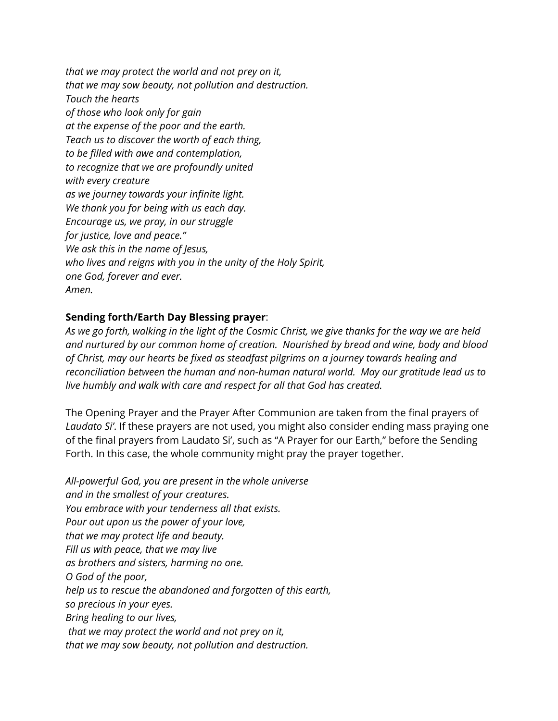*that we may protect the world and not prey on it, that we may sow beauty, not pollution and destruction. Touch the hearts of those who look only for gain at the expense of the poor and the earth. Teach us to discover the worth of each thing, to be filled with awe and contemplation, to recognize that we are profoundly united with every creature as we journey towards your infinite light. We thank you for being with us each day. Encourage us, we pray, in our struggle for justice, love and peace." We ask this in the name of Jesus, who lives and reigns with you in the unity of the Holy Spirit, one God, forever and ever. Amen.*

## **Sending forth/Earth Day Blessing prayer**:

As we go forth, walking in the light of the Cosmic Christ, we give thanks for the way we are held *and nurtured by our common home of creation. Nourished by bread and wine, body and blood of Christ, may our hearts be fixed as steadfast pilgrims on a journey towards healing and reconciliation between the human and non-human natural world. May our gratitude lead us to live humbly and walk with care and respect for all that God has created.*

The Opening Prayer and the Prayer After Communion are taken from the final prayers of *Laudato Si'*. If these prayers are not used, you might also consider ending mass praying one of the final prayers from Laudato Si', such as "A Prayer for our Earth," before the Sending Forth. In this case, the whole community might pray the prayer together.

*All-powerful God, you are present in the whole universe and in the smallest of your creatures. You embrace with your tenderness all that exists. Pour out upon us the power of your love, that we may protect life and beauty. Fill us with peace, that we may live as brothers and sisters, harming no one. O God of the poor, help us to rescue the abandoned and forgotten of this earth, so precious in your eyes. Bring healing to our lives, that we may protect the world and not prey on it, that we may sow beauty, not pollution and destruction.*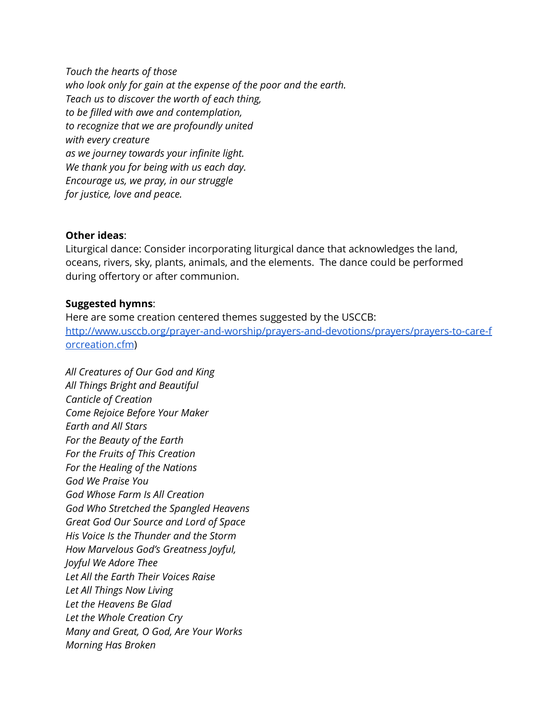*Touch the hearts of those who look only for gain at the expense of the poor and the earth. Teach us to discover the worth of each thing, to be filled with awe and contemplation, to recognize that we are profoundly united with every creature as we journey towards your infinite light. We thank you for being with us each day. Encourage us, we pray, in our struggle for justice, love and peace.*

#### **Other ideas**:

Liturgical dance: Consider incorporating liturgical dance that acknowledges the land, oceans, rivers, sky, plants, animals, and the elements. The dance could be performed during offertory or after communion.

#### **Suggested hymns**:

Here are some creation centered themes suggested by the USCCB: [http://www.usccb.org/prayer-and-worship/prayers-and-devotions/prayers/prayers-to-care-f](http://www.usccb.org/prayer-and-worship/prayers-and-devotions/prayers/prayers-to-care-forcreation.cfm) [orcreation.cfm](http://www.usccb.org/prayer-and-worship/prayers-and-devotions/prayers/prayers-to-care-forcreation.cfm))

*All Creatures of Our God and King All Things Bright and Beautiful Canticle of Creation Come Rejoice Before Your Maker Earth and All Stars For the Beauty of the Earth For the Fruits of This Creation For the Healing of the Nations God We Praise You God Whose Farm Is All Creation God Who Stretched the Spangled Heavens Great God Our Source and Lord of Space His Voice Is the Thunder and the Storm How Marvelous God's Greatness Joyful, Joyful We Adore Thee Let All the Earth Their Voices Raise Let All Things Now Living Let the Heavens Be Glad Let the Whole Creation Cry Many and Great, O God, Are Your Works Morning Has Broken*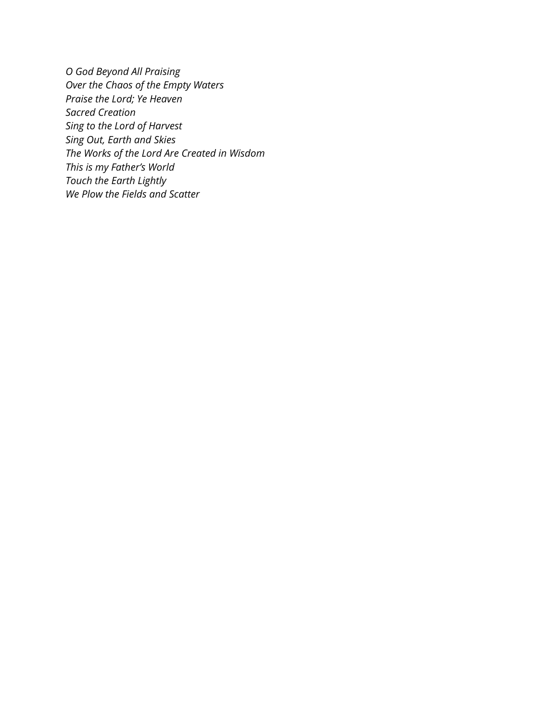*O God Beyond All Praising Over the Chaos of the Empty Waters Praise the Lord; Ye Heaven Sacred Creation Sing to the Lord of Harvest Sing Out, Earth and Skies The Works of the Lord Are Created in Wisdom This is my Father's World Touch the Earth Lightly We Plow the Fields and Scatter*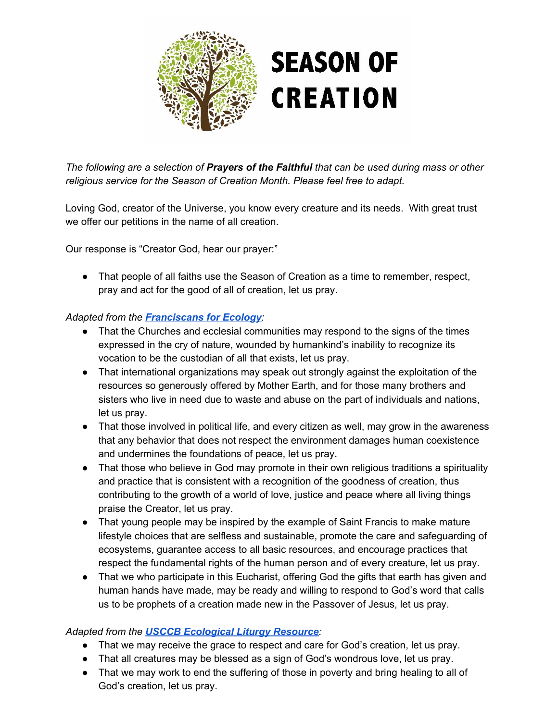

*The following are a selection of Prayers of the Faithful that can be used during mass or other religious service for the Season of Creation Month. Please feel free to adapt.*

Loving God, creator of the Universe, you know every creature and its needs. With great trust we offer our petitions in the name of all creation.

Our response is "Creator God, hear our prayer:"

• That people of all faiths use the Season of Creation as a time to remember, respect, pray and act for the good of all of creation, let us pray.

## *Adapted from the [Francisc](http://francis35.org/english/prayer-faithful/) ans for Ecology:*

- That the Churches and ecclesial communities may respond to the signs of the times expressed in the cry of nature, wounded by humankind's inability to recognize its vocation to be the custodian of all that exists, let us pray.
- That international organizations may speak out strongly against the exploitation of the resources so generously offered by Mother Earth, and for those many brothers and sisters who live in need due to waste and abuse on the part of individuals and nations, let us pray.
- That those involved in political life, and every citizen as well, may grow in the awareness that any behavior that does not respect the environment damages human coexistence and undermines the foundations of peace, let us pray.
- That those who believe in God may promote in their own religious traditions a spirituality and practice that is consistent with a recognition of the goodness of creation, thus contributing to the growth of a world of love, justice and peace where all living things praise the Creator, let us pray.
- That young people may be inspired by the example of Saint Francis to make mature lifestyle choices that are selfless and sustainable, promote the care and safeguarding of ecosystems, guarantee access to all basic resources, and encourage practices that respect the fundamental rights of the human person and of every creature, let us pray.
- That we who participate in this Eucharist, offering God the gifts that earth has given and human hands have made, may be ready and willing to respond to God's word that calls us to be prophets of a creation made new in the Passover of Jesus, let us pray.

## *Adapted from the USCCB [Ecological](http://www.usccb.org/issues-and-action/human-life-and-dignity/environment/upload/ecology-resource-liturgy.pdf) Liturgy Resource:*

- That we may receive the grace to respect and care for God's creation, let us pray.
- That all creatures may be blessed as a sign of God's wondrous love, let us pray.
- That we may work to end the suffering of those in poverty and bring healing to all of God's creation, let us pray.